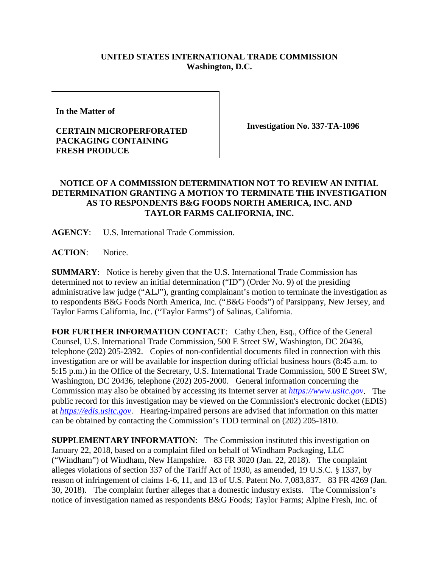## **UNITED STATES INTERNATIONAL TRADE COMMISSION Washington, D.C.**

**In the Matter of** 

## **CERTAIN MICROPERFORATED PACKAGING CONTAINING FRESH PRODUCE**

**Investigation No. 337-TA-1096**

## **NOTICE OF A COMMISSION DETERMINATION NOT TO REVIEW AN INITIAL DETERMINATION GRANTING A MOTION TO TERMINATE THE INVESTIGATION AS TO RESPONDENTS B&G FOODS NORTH AMERICA, INC. AND TAYLOR FARMS CALIFORNIA, INC.**

**AGENCY**: U.S. International Trade Commission.

ACTION: Notice.

**SUMMARY**: Notice is hereby given that the U.S. International Trade Commission has determined not to review an initial determination ("ID") (Order No. 9) of the presiding administrative law judge ("ALJ"), granting complainant's motion to terminate the investigation as to respondents B&G Foods North America, Inc. ("B&G Foods") of Parsippany, New Jersey, and Taylor Farms California, Inc. ("Taylor Farms") of Salinas, California.

**FOR FURTHER INFORMATION CONTACT:** Cathy Chen, Esq., Office of the General Counsel, U.S. International Trade Commission, 500 E Street SW, Washington, DC 20436, telephone (202) 205-2392. Copies of non-confidential documents filed in connection with this investigation are or will be available for inspection during official business hours (8:45 a.m. to 5:15 p.m.) in the Office of the Secretary, U.S. International Trade Commission, 500 E Street SW, Washington, DC 20436, telephone (202) 205-2000. General information concerning the Commission may also be obtained by accessing its Internet server at *[https://www.usitc.gov](https://www.usitc.gov/)*. The public record for this investigation may be viewed on the Commission's electronic docket (EDIS) at *[https://edis.usitc.gov](https://edis.usitc.gov/)*. Hearing-impaired persons are advised that information on this matter can be obtained by contacting the Commission's TDD terminal on (202) 205-1810.

**SUPPLEMENTARY INFORMATION**: The Commission instituted this investigation on January 22, 2018, based on a complaint filed on behalf of Windham Packaging, LLC ("Windham") of Windham, New Hampshire. 83 FR 3020 (Jan. 22, 2018). The complaint alleges violations of section 337 of the Tariff Act of 1930, as amended, 19 U.S.C. § 1337, by reason of infringement of claims 1-6, 11, and 13 of U.S. Patent No. 7,083,837. 83 FR 4269 (Jan. 30, 2018). The complaint further alleges that a domestic industry exists. The Commission's notice of investigation named as respondents B&G Foods; Taylor Farms; Alpine Fresh, Inc. of